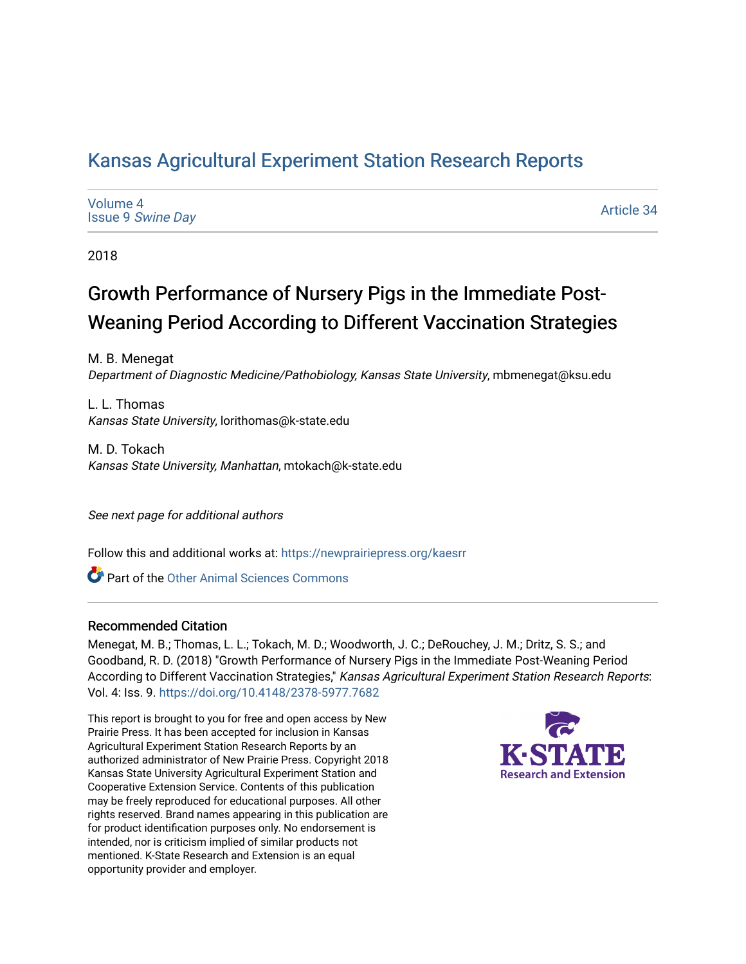## [Kansas Agricultural Experiment Station Research Reports](https://newprairiepress.org/kaesrr)

[Volume 4](https://newprairiepress.org/kaesrr/vol4) Issue 9 [Swine Day](https://newprairiepress.org/kaesrr/vol4/iss9)

[Article 34](https://newprairiepress.org/kaesrr/vol4/iss9/34) 

2018

## Growth Performance of Nursery Pigs in the Immediate Post-Weaning Period According to Different Vaccination Strategies

M. B. Menegat Department of Diagnostic Medicine/Pathobiology, Kansas State University, mbmenegat@ksu.edu

L. L. Thomas Kansas State University, lorithomas@k-state.edu

M. D. Tokach Kansas State University, Manhattan, mtokach@k-state.edu

See next page for additional authors

Follow this and additional works at: [https://newprairiepress.org/kaesrr](https://newprairiepress.org/kaesrr?utm_source=newprairiepress.org%2Fkaesrr%2Fvol4%2Fiss9%2F34&utm_medium=PDF&utm_campaign=PDFCoverPages) 

Part of the [Other Animal Sciences Commons](http://network.bepress.com/hgg/discipline/82?utm_source=newprairiepress.org%2Fkaesrr%2Fvol4%2Fiss9%2F34&utm_medium=PDF&utm_campaign=PDFCoverPages)

#### Recommended Citation

Menegat, M. B.; Thomas, L. L.; Tokach, M. D.; Woodworth, J. C.; DeRouchey, J. M.; Dritz, S. S.; and Goodband, R. D. (2018) "Growth Performance of Nursery Pigs in the Immediate Post-Weaning Period According to Different Vaccination Strategies," Kansas Agricultural Experiment Station Research Reports: Vol. 4: Iss. 9. <https://doi.org/10.4148/2378-5977.7682>

This report is brought to you for free and open access by New Prairie Press. It has been accepted for inclusion in Kansas Agricultural Experiment Station Research Reports by an authorized administrator of New Prairie Press. Copyright 2018 Kansas State University Agricultural Experiment Station and Cooperative Extension Service. Contents of this publication may be freely reproduced for educational purposes. All other rights reserved. Brand names appearing in this publication are for product identification purposes only. No endorsement is intended, nor is criticism implied of similar products not mentioned. K-State Research and Extension is an equal opportunity provider and employer.

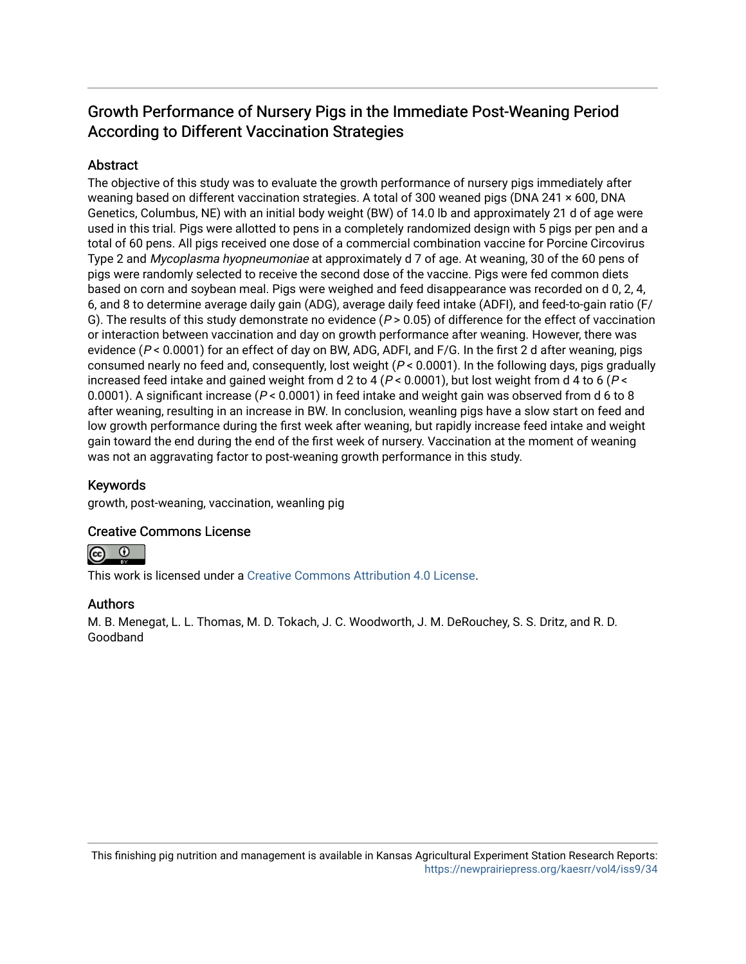## Growth Performance of Nursery Pigs in the Immediate Post-Weaning Period According to Different Vaccination Strategies

#### **Abstract**

The objective of this study was to evaluate the growth performance of nursery pigs immediately after weaning based on different vaccination strategies. A total of 300 weaned pigs (DNA 241 × 600, DNA Genetics, Columbus, NE) with an initial body weight (BW) of 14.0 lb and approximately 21 d of age were used in this trial. Pigs were allotted to pens in a completely randomized design with 5 pigs per pen and a total of 60 pens. All pigs received one dose of a commercial combination vaccine for Porcine Circovirus Type 2 and Mycoplasma hyopneumoniae at approximately d 7 of age. At weaning, 30 of the 60 pens of pigs were randomly selected to receive the second dose of the vaccine. Pigs were fed common diets based on corn and soybean meal. Pigs were weighed and feed disappearance was recorded on d 0, 2, 4, 6, and 8 to determine average daily gain (ADG), average daily feed intake (ADFI), and feed-to-gain ratio (F/ G). The results of this study demonstrate no evidence ( $P > 0.05$ ) of difference for the effect of vaccination or interaction between vaccination and day on growth performance after weaning. However, there was evidence (P < 0.0001) for an effect of day on BW, ADG, ADFI, and F/G. In the first 2 d after weaning, pigs consumed nearly no feed and, consequently, lost weight  $(P < 0.0001)$ . In the following days, pigs gradually increased feed intake and gained weight from d 2 to 4 ( $P < 0.0001$ ), but lost weight from d 4 to 6 ( $P <$ 0.0001). A significant increase ( $P < 0.0001$ ) in feed intake and weight gain was observed from d 6 to 8 after weaning, resulting in an increase in BW. In conclusion, weanling pigs have a slow start on feed and low growth performance during the first week after weaning, but rapidly increase feed intake and weight gain toward the end during the end of the first week of nursery. Vaccination at the moment of weaning was not an aggravating factor to post-weaning growth performance in this study.

#### Keywords

growth, post-weaning, vaccination, weanling pig

#### Creative Commons License



This work is licensed under a [Creative Commons Attribution 4.0 License](https://creativecommons.org/licenses/by/4.0/).

#### Authors

M. B. Menegat, L. L. Thomas, M. D. Tokach, J. C. Woodworth, J. M. DeRouchey, S. S. Dritz, and R. D. Goodband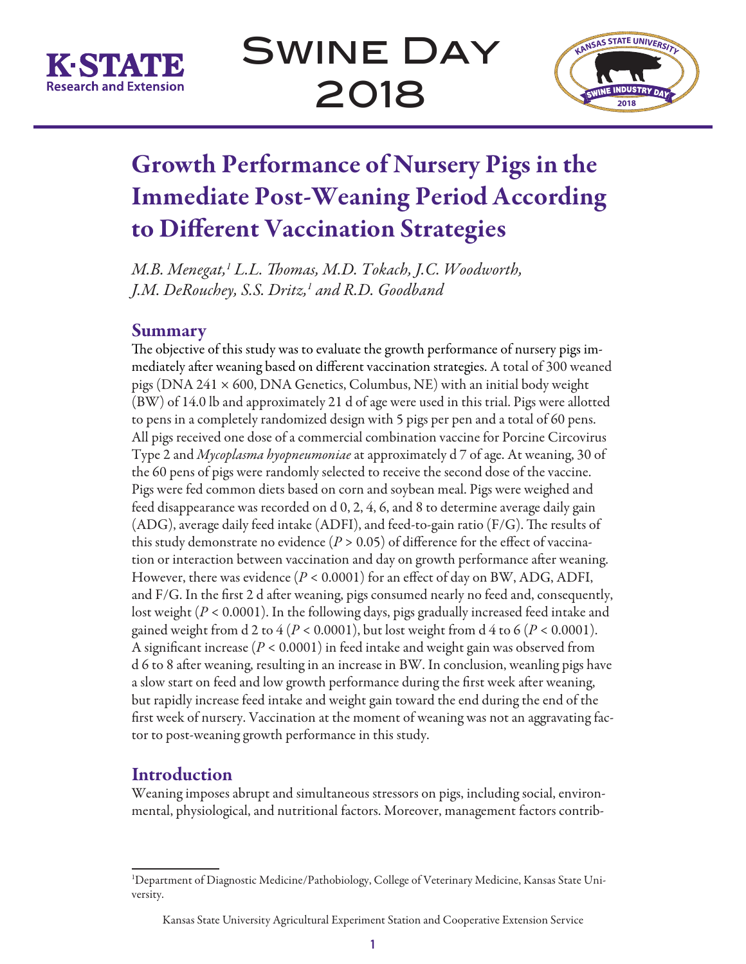

Swine Day 2018



# Growth Performance of Nursery Pigs in the Immediate Post-Weaning Period According to Different Vaccination Strategies

*M.B. Menegat,1 L.L. Thomas, M.D. Tokach, J.C. Woodworth, J.M. DeRouchey, S.S. Dritz,1 and R.D. Goodband*

### Summary

The objective of this study was to evaluate the growth performance of nursery pigs immediately after weaning based on different vaccination strategies. A total of 300 weaned pigs (DNA 241  $\times$  600, DNA Genetics, Columbus, NE) with an initial body weight (BW) of 14.0 lb and approximately 21 d of age were used in this trial. Pigs were allotted to pens in a completely randomized design with 5 pigs per pen and a total of 60 pens. All pigs received one dose of a commercial combination vaccine for Porcine Circovirus Type 2 and *Mycoplasma hyopneumoniae* at approximately d 7 of age. At weaning, 30 of the 60 pens of pigs were randomly selected to receive the second dose of the vaccine. Pigs were fed common diets based on corn and soybean meal. Pigs were weighed and feed disappearance was recorded on d 0, 2, 4, 6, and 8 to determine average daily gain (ADG), average daily feed intake (ADFI), and feed-to-gain ratio (F/G). The results of this study demonstrate no evidence  $(P > 0.05)$  of difference for the effect of vaccination or interaction between vaccination and day on growth performance after weaning. However, there was evidence  $(P < 0.0001)$  for an effect of day on BW, ADG, ADFI, and F/G. In the first 2 d after weaning, pigs consumed nearly no feed and, consequently, lost weight (*P* < 0.0001). In the following days, pigs gradually increased feed intake and gained weight from d 2 to  $4 (P < 0.0001)$ , but lost weight from d  $4$  to 6 ( $P < 0.0001$ ). A significant increase (*P* < 0.0001) in feed intake and weight gain was observed from d 6 to 8 after weaning, resulting in an increase in BW. In conclusion, weanling pigs have a slow start on feed and low growth performance during the first week after weaning, but rapidly increase feed intake and weight gain toward the end during the end of the first week of nursery. Vaccination at the moment of weaning was not an aggravating factor to post-weaning growth performance in this study.

## Introduction

Weaning imposes abrupt and simultaneous stressors on pigs, including social, environmental, physiological, and nutritional factors. Moreover, management factors contrib-

<sup>1</sup> Department of Diagnostic Medicine/Pathobiology, College of Veterinary Medicine, Kansas State University.

Kansas State University Agricultural Experiment Station and Cooperative Extension Service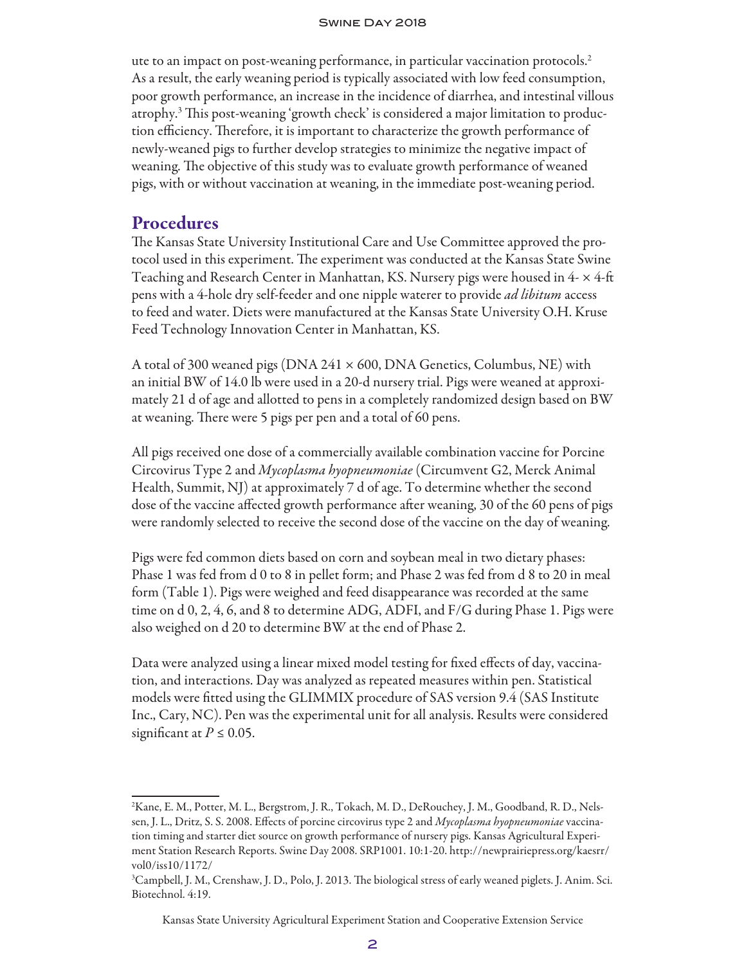#### Swine Day 2018

ute to an impact on post-weaning performance, in particular vaccination protocols.2 As a result, the early weaning period is typically associated with low feed consumption, poor growth performance, an increase in the incidence of diarrhea, and intestinal villous atrophy.3 This post-weaning 'growth check' is considered a major limitation to production efficiency. Therefore, it is important to characterize the growth performance of newly-weaned pigs to further develop strategies to minimize the negative impact of weaning. The objective of this study was to evaluate growth performance of weaned pigs, with or without vaccination at weaning, in the immediate post-weaning period.

#### Procedures

The Kansas State University Institutional Care and Use Committee approved the protocol used in this experiment. The experiment was conducted at the Kansas State Swine Teaching and Research Center in Manhattan, KS. Nursery pigs were housed in 4- × 4-ft pens with a 4-hole dry self-feeder and one nipple waterer to provide *ad libitum* access to feed and water. Diets were manufactured at the Kansas State University O.H. Kruse Feed Technology Innovation Center in Manhattan, KS.

A total of 300 weaned pigs (DNA 241  $\times$  600, DNA Genetics, Columbus, NE) with an initial BW of 14.0 lb were used in a 20-d nursery trial. Pigs were weaned at approximately 21 d of age and allotted to pens in a completely randomized design based on BW at weaning. There were 5 pigs per pen and a total of 60 pens.

All pigs received one dose of a commercially available combination vaccine for Porcine Circovirus Type 2 and *Mycoplasma hyopneumoniae* (Circumvent G2, Merck Animal Health, Summit, NJ) at approximately 7 d of age. To determine whether the second dose of the vaccine affected growth performance after weaning, 30 of the 60 pens of pigs were randomly selected to receive the second dose of the vaccine on the day of weaning.

Pigs were fed common diets based on corn and soybean meal in two dietary phases: Phase 1 was fed from d 0 to 8 in pellet form; and Phase 2 was fed from d 8 to 20 in meal form (Table 1). Pigs were weighed and feed disappearance was recorded at the same time on d 0, 2, 4, 6, and 8 to determine ADG, ADFI, and F/G during Phase 1. Pigs were also weighed on d 20 to determine BW at the end of Phase 2.

Data were analyzed using a linear mixed model testing for fixed effects of day, vaccination, and interactions. Day was analyzed as repeated measures within pen. Statistical models were fitted using the GLIMMIX procedure of SAS version 9.4 (SAS Institute Inc., Cary, NC). Pen was the experimental unit for all analysis. Results were considered significant at  $P \leq 0.05$ .

<sup>2</sup> Kane, E. M., Potter, M. L., Bergstrom, J. R., Tokach, M. D., DeRouchey, J. M., Goodband, R. D., Nelssen, J. L., Dritz, S. S. 2008. Effects of porcine circovirus type 2 and *Mycoplasma hyopneumoniae* vaccination timing and starter diet source on growth performance of nursery pigs. Kansas Agricultural Experiment Station Research Reports. Swine Day 2008. SRP1001. 10:1-20. http://newprairiepress.org/kaesrr/ vol0/iss10/1172/

<sup>3</sup> Campbell, J. M., Crenshaw, J. D., Polo, J. 2013. The biological stress of early weaned piglets. J. Anim. Sci. Biotechnol. 4:19.

Kansas State University Agricultural Experiment Station and Cooperative Extension Service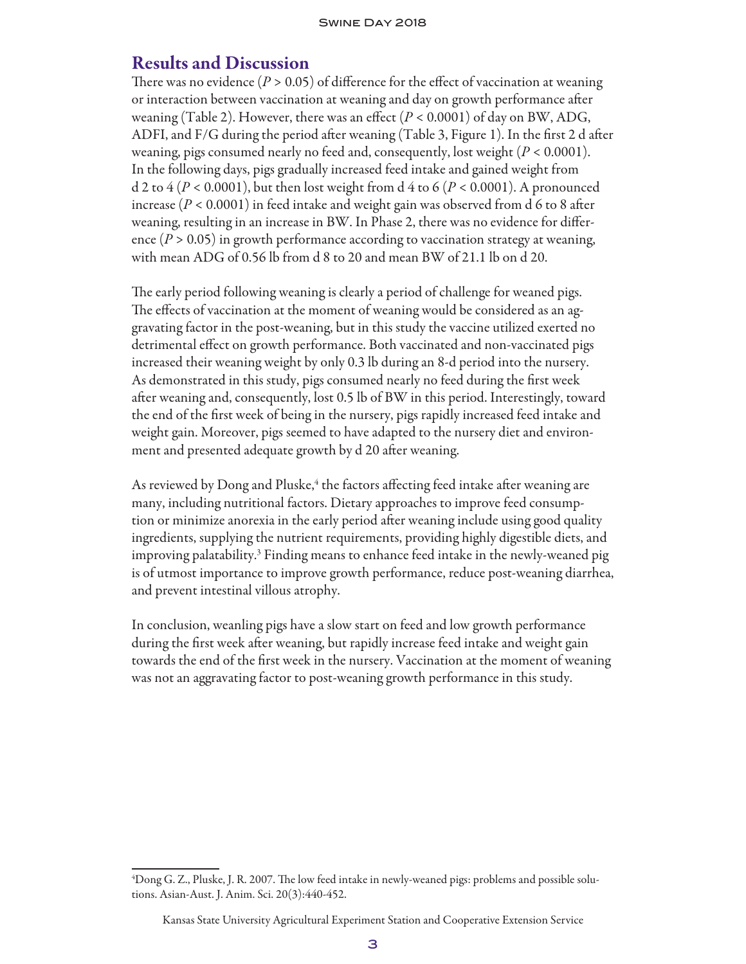#### Results and Discussion

There was no evidence  $(P > 0.05)$  of difference for the effect of vaccination at weaning or interaction between vaccination at weaning and day on growth performance after weaning (Table 2). However, there was an effect  $(P < 0.0001)$  of day on BW, ADG, ADFI, and F/G during the period after weaning (Table 3, Figure 1). In the first 2 d after weaning, pigs consumed nearly no feed and, consequently, lost weight (*P* < 0.0001). In the following days, pigs gradually increased feed intake and gained weight from d 2 to  $4 (P < 0.0001)$ , but then lost weight from d  $4$  to 6 ( $P < 0.0001$ ). A pronounced increase  $(P < 0.0001)$  in feed intake and weight gain was observed from d 6 to 8 after weaning, resulting in an increase in BW. In Phase 2, there was no evidence for difference  $(P > 0.05)$  in growth performance according to vaccination strategy at weaning, with mean ADG of 0.56 lb from d 8 to 20 and mean BW of 21.1 lb on d 20.

The early period following weaning is clearly a period of challenge for weaned pigs. The effects of vaccination at the moment of weaning would be considered as an aggravating factor in the post-weaning, but in this study the vaccine utilized exerted no detrimental effect on growth performance. Both vaccinated and non-vaccinated pigs increased their weaning weight by only 0.3 lb during an 8-d period into the nursery. As demonstrated in this study, pigs consumed nearly no feed during the first week after weaning and, consequently, lost 0.5 lb of BW in this period. Interestingly, toward the end of the first week of being in the nursery, pigs rapidly increased feed intake and weight gain. Moreover, pigs seemed to have adapted to the nursery diet and environment and presented adequate growth by d 20 after weaning.

As reviewed by Dong and Pluske,<sup>4</sup> the factors affecting feed intake after weaning are many, including nutritional factors. Dietary approaches to improve feed consumption or minimize anorexia in the early period after weaning include using good quality ingredients, supplying the nutrient requirements, providing highly digestible diets, and improving palatability.<sup>3</sup> Finding means to enhance feed intake in the newly-weaned pig is of utmost importance to improve growth performance, reduce post-weaning diarrhea, and prevent intestinal villous atrophy.

In conclusion, weanling pigs have a slow start on feed and low growth performance during the first week after weaning, but rapidly increase feed intake and weight gain towards the end of the first week in the nursery. Vaccination at the moment of weaning was not an aggravating factor to post-weaning growth performance in this study.

<sup>4</sup> Dong G. Z., Pluske, J. R. 2007. The low feed intake in newly-weaned pigs: problems and possible solutions. Asian-Aust. J. Anim. Sci. 20(3):440-452.

Kansas State University Agricultural Experiment Station and Cooperative Extension Service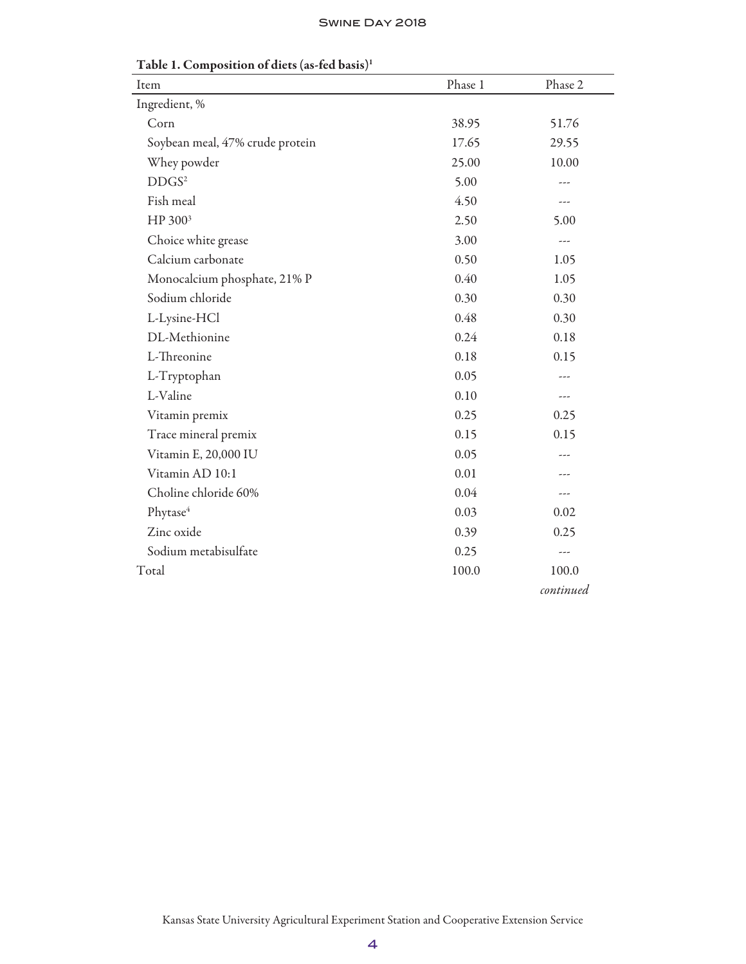| Item                            | Phase 1 | Phase 2   |
|---------------------------------|---------|-----------|
| Ingredient, %                   |         |           |
| Corn                            | 38.95   | 51.76     |
| Soybean meal, 47% crude protein | 17.65   | 29.55     |
| Whey powder                     | 25.00   | 10.00     |
| DDGS <sup>2</sup>               | 5.00    | ---       |
| Fish meal                       | 4.50    |           |
| HP 300 <sup>3</sup>             | 2.50    | 5.00      |
| Choice white grease             | 3.00    | ---       |
| Calcium carbonate               | 0.50    | 1.05      |
| Monocalcium phosphate, 21% P    | 0.40    | 1.05      |
| Sodium chloride                 | 0.30    | 0.30      |
| L-Lysine-HCl                    | 0.48    | 0.30      |
| DL-Methionine                   | 0.24    | 0.18      |
| L-Threonine                     | 0.18    | 0.15      |
| L-Tryptophan                    | 0.05    |           |
| L-Valine                        | 0.10    | ---       |
| Vitamin premix                  | 0.25    | 0.25      |
| Trace mineral premix            | 0.15    | 0.15      |
| Vitamin E, 20,000 IU            | 0.05    |           |
| Vitamin AD 10:1                 | 0.01    |           |
| Choline chloride 60%            | 0.04    | ---       |
| Phytase <sup>4</sup>            | 0.03    | 0.02      |
| Zinc oxide                      | 0.39    | 0.25      |
| Sodium metabisulfate            | 0.25    | $---$     |
| Total                           | 100.0   | 100.0     |
|                                 |         | continued |

Table 1. Composition of diets (as-fed basis)1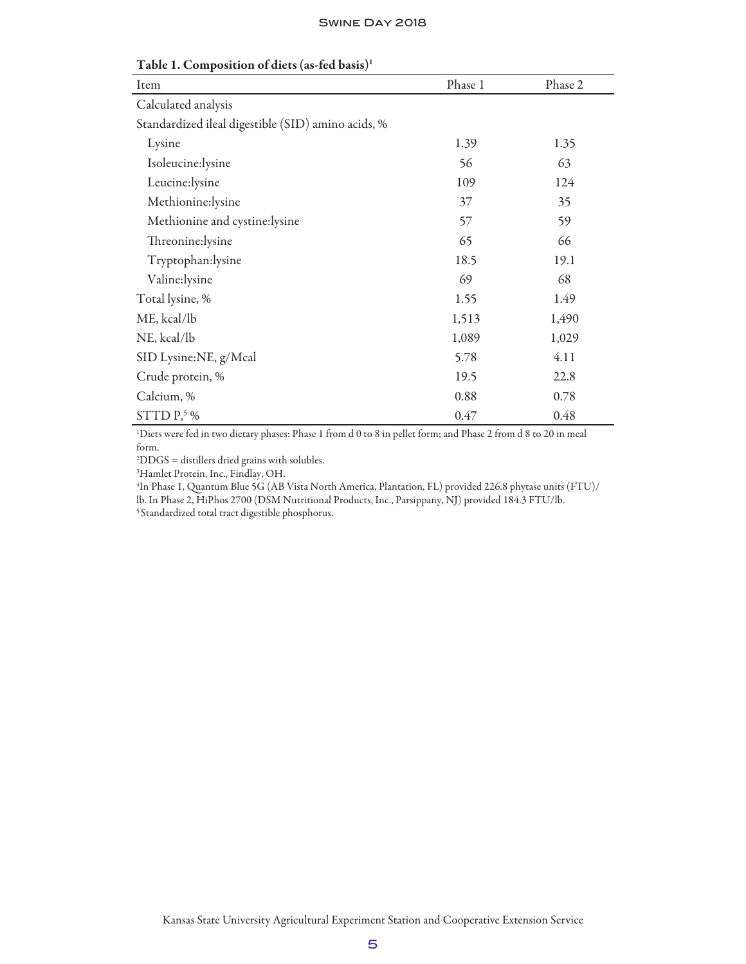| Item                                               | Phase 1 | Phase 2 |
|----------------------------------------------------|---------|---------|
| Calculated analysis                                |         |         |
| Standardized ileal digestible (SID) amino acids, % |         |         |
| Lysine                                             | 1.39    | 1.35    |
| Isoleucine:lysine                                  | 56      | 63      |
| Leucine:lysine                                     | 109     | 124     |
| Methionine:lysine                                  | 37      | 35      |
| Methionine and cystine:lysine                      | 57      | 59      |
| Threonine:lysine                                   | 65      | 66      |
| Tryptophan:lysine                                  | 18.5    | 19.1    |
| Valine:lysine                                      | 69      | 68      |
| Total lysine, %                                    | 1.55    | 1.49    |
| ME, kcal/lb                                        | 1,513   | 1,490   |
| NE, kcal/lb                                        | 1,089   | 1,029   |
| SID Lysine:NE, g/Mcal                              | 5.78    | 4.11    |
| Crude protein, %                                   | 19.5    | 22.8    |
| Calcium, %                                         | 0.88    | 0.78    |
| STTD $P,5\%$                                       | 0.47    | 0.48    |

Table 1. Composition of diets (as-fed basis)1

1 Diets were fed in two dietary phases: Phase 1 from d 0 to 8 in pellet form; and Phase 2 from d 8 to 20 in meal form.

2 DDGS = distillers dried grains with solubles.

3 Hamlet Protein, Inc., Findlay, OH.

4 In Phase 1, Quantum Blue 5G (AB Vista North America, Plantation, FL) provided 226.8 phytase units (FTU)/ lb. In Phase 2, HiPhos 2700 (DSM Nutritional Products, Inc., Parsippany, NJ) provided 184.3 FTU/lb. 5 Standardized total tract digestible phosphorus.